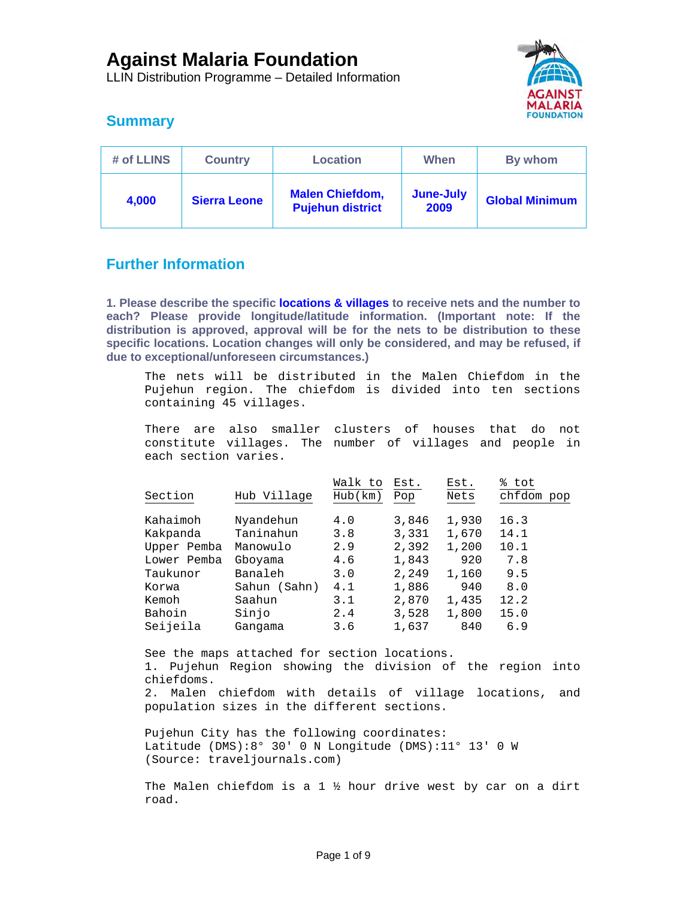LLIN Distribution Programme – Detailed Information



# **Summary**

| # of LLINS | <b>Country</b>      | <b>Location</b>                                   | When              | By whom               |
|------------|---------------------|---------------------------------------------------|-------------------|-----------------------|
| 4,000      | <b>Sierra Leone</b> | <b>Malen Chiefdom,</b><br><b>Pujehun district</b> | June-July<br>2009 | <b>Global Minimum</b> |

# **Further Information**

**1. Please describe the specific locations & villages to receive nets and the number to each? Please provide longitude/latitude information. (Important note: If the distribution is approved, approval will be for the nets to be distribution to these specific locations. Location changes will only be considered, and may be refused, if due to exceptional/unforeseen circumstances.)** 

The nets will be distributed in the Malen Chiefdom in the Pujehun region. The chiefdom is divided into ten sections containing 45 villages.

There are also smaller clusters of houses that do not constitute villages. The number of villages and people in each section varies.

|             |              | Walk to | Est.  | Est.  | ి<br>tot   |
|-------------|--------------|---------|-------|-------|------------|
| Section     | Hub Village  | Hub(km) | Pop   | Nets  | chfdom pop |
|             |              |         |       |       |            |
| Kahaimoh    | Nyandehun    | 4.0     | 3,846 | 1,930 | 16.3       |
| Kakpanda    | Taninahun    | 3.8     | 3,331 | 1,670 | 14.1       |
| Upper Pemba | Manowulo     | 2.9     | 2,392 | 1,200 | 10.1       |
| Lower Pemba | Gboyama      | 4.6     | 1,843 | 920   | 7.8        |
| Taukunor    | Banaleh      | 3.0     | 2,249 | 1,160 | 9.5        |
| Korwa       | Sahun (Sahn) | 4.1     | 1,886 | 940   | 8.0        |
| Kemoh       | Saahun       | 3.1     | 2,870 | 1,435 | 12.2       |
| Bahoin      | Sinjo        | 2.4     | 3,528 | 1,800 | 15.0       |
| Seijeila    | Gangama      | 3.6     | 1,637 | 840   | 6.9        |
|             |              |         |       |       |            |

See the maps attached for section locations. 1. Pujehun Region showing the division of the region into chiefdoms. 2. Malen chiefdom with details of village locations, and population sizes in the different sections. Pujehun City has the following coordinates:

Latitude (DMS):8° 30' 0 N Longitude (DMS):11° 13' 0 W (Source: traveljournals.com)

The Malen chiefdom is a 1  $\frac{1}{2}$  hour drive west by car on a dirt road.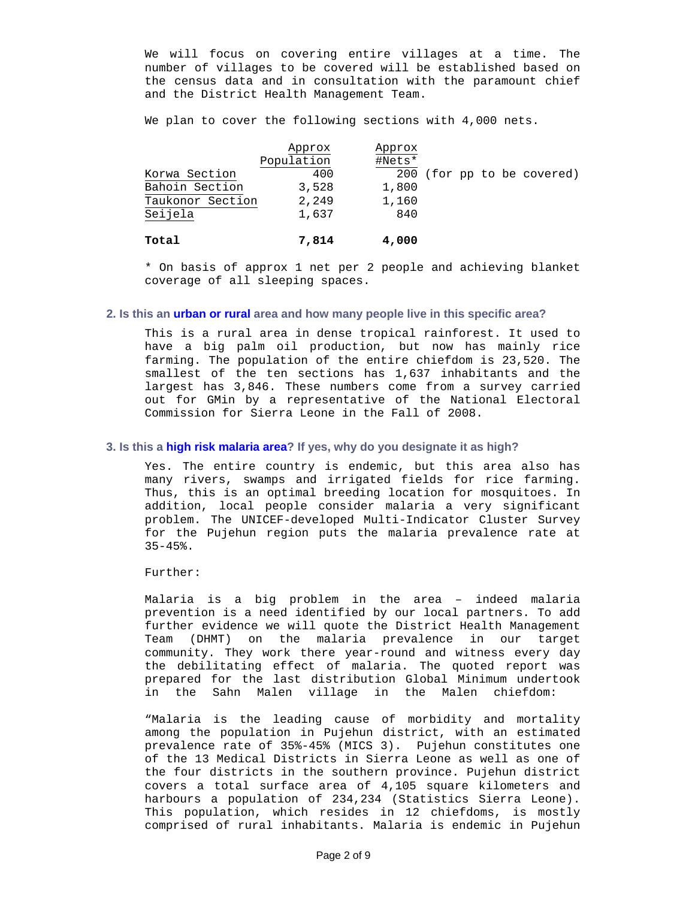We will focus on covering entire villages at a time. The number of villages to be covered will be established based on the census data and in consultation with the paramount chief and the District Health Management Team.

We plan to cover the following sections with 4,000 nets.

|                  | Approx     | Approx |                            |
|------------------|------------|--------|----------------------------|
|                  | Population | #Nets* |                            |
| Korwa Section    | 400        |        | 200 (for pp to be covered) |
| Bahoin Section   | 3,528      | 1,800  |                            |
| Taukonor Section | 2,249      | 1,160  |                            |
| Seijela          | 1,637      | 840    |                            |
| Total            | 7,814      | 4,000  |                            |

\* On basis of approx 1 net per 2 people and achieving blanket coverage of all sleeping spaces.

## **2. Is this an urban or rural area and how many people live in this specific area?**

This is a rural area in dense tropical rainforest. It used to have a big palm oil production, but now has mainly rice farming. The population of the entire chiefdom is 23,520. The smallest of the ten sections has 1,637 inhabitants and the largest has 3,846. These numbers come from a survey carried out for GMin by a representative of the National Electoral Commission for Sierra Leone in the Fall of 2008.

#### **3. Is this a high risk malaria area? If yes, why do you designate it as high?**

Yes. The entire country is endemic, but this area also has many rivers, swamps and irrigated fields for rice farming. Thus, this is an optimal breeding location for mosquitoes. In addition, local people consider malaria a very significant problem. The UNICEF-developed Multi-Indicator Cluster Survey for the Pujehun region puts the malaria prevalence rate at  $35 - 45$ %.

Further:

Malaria is a big problem in the area – indeed malaria prevention is a need identified by our local partners. To add further evidence we will quote the District Health Management Team (DHMT) on the malaria prevalence in our target community. They work there year-round and witness every day the debilitating effect of malaria. The quoted report was prepared for the last distribution Global Minimum undertook in the Sahn Malen village in the Malen chiefdom:

"Malaria is the leading cause of morbidity and mortality among the population in Pujehun district, with an estimated prevalence rate of 35%-45% (MICS 3). Pujehun constitutes one of the 13 Medical Districts in Sierra Leone as well as one of the four districts in the southern province. Pujehun district covers a total surface area of 4,105 square kilometers and harbours a population of 234,234 (Statistics Sierra Leone). This population, which resides in 12 chiefdoms, is mostly comprised of rural inhabitants. Malaria is endemic in Pujehun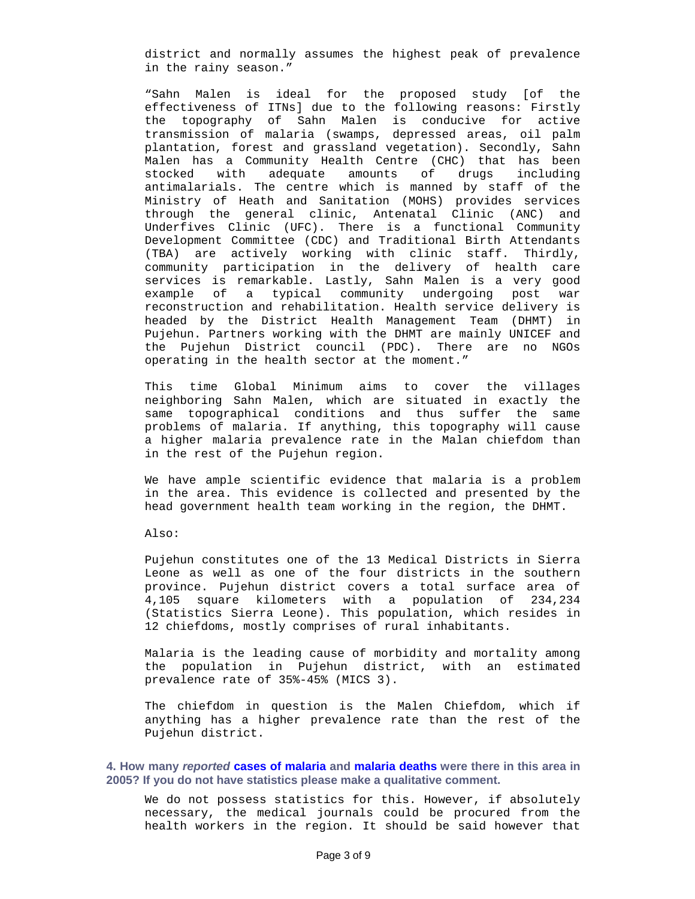district and normally assumes the highest peak of prevalence in the rainy season."

"Sahn Malen is ideal for the proposed study [of the effectiveness of ITNs] due to the following reasons: Firstly the topography of Sahn Malen is conducive for active transmission of malaria (swamps, depressed areas, oil palm plantation, forest and grassland vegetation). Secondly, Sahn Malen has a Community Health Centre (CHC) that has been stocked with adequate amounts of drugs including antimalarials. The centre which is manned by staff of the Ministry of Heath and Sanitation (MOHS) provides services through the general clinic, Antenatal Clinic (ANC) and Underfives Clinic (UFC). There is a functional Community Development Committee (CDC) and Traditional Birth Attendants (TBA) are actively working with clinic staff. Thirdly, community participation in the delivery of health care services is remarkable. Lastly, Sahn Malen is a very good example of a typical community undergoing post war reconstruction and rehabilitation. Health service delivery is headed by the District Health Management Team (DHMT) in Pujehun. Partners working with the DHMT are mainly UNICEF and the Pujehun District council (PDC). There are no NGOs operating in the health sector at the moment."

This time Global Minimum aims to cover the villages neighboring Sahn Malen, which are situated in exactly the same topographical conditions and thus suffer the same problems of malaria. If anything, this topography will cause a higher malaria prevalence rate in the Malan chiefdom than in the rest of the Pujehun region.

We have ample scientific evidence that malaria is a problem in the area. This evidence is collected and presented by the head government health team working in the region, the DHMT.

Also:

Pujehun constitutes one of the 13 Medical Districts in Sierra Leone as well as one of the four districts in the southern province. Pujehun district covers a total surface area of 4,105 square kilometers with a population of 234,234 (Statistics Sierra Leone). This population, which resides in 12 chiefdoms, mostly comprises of rural inhabitants.

Malaria is the leading cause of morbidity and mortality among the population in Pujehun district, with an estimated prevalence rate of 35%-45% (MICS 3).

The chiefdom in question is the Malen Chiefdom, which if anything has a higher prevalence rate than the rest of the Pujehun district.

**4. How many** *reported* **cases of malaria and malaria deaths were there in this area in 2005? If you do not have statistics please make a qualitative comment.** 

We do not possess statistics for this. However, if absolutely necessary, the medical journals could be procured from the health workers in the region. It should be said however that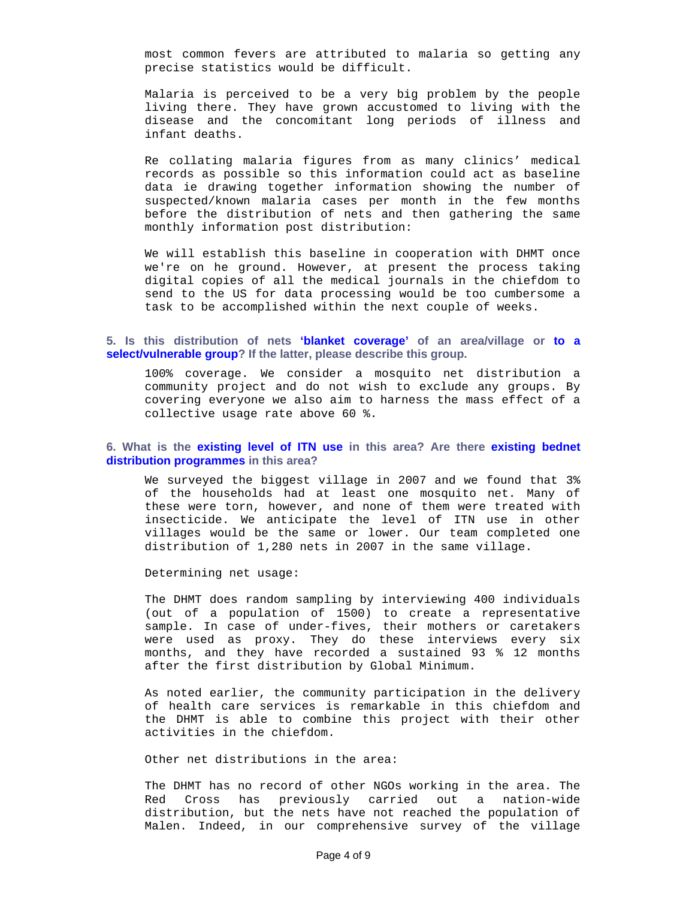most common fevers are attributed to malaria so getting any precise statistics would be difficult.

Malaria is perceived to be a very big problem by the people living there. They have grown accustomed to living with the disease and the concomitant long periods of illness and infant deaths.

Re collating malaria figures from as many clinics' medical records as possible so this information could act as baseline data ie drawing together information showing the number of suspected/known malaria cases per month in the few months before the distribution of nets and then gathering the same monthly information post distribution:

We will establish this baseline in cooperation with DHMT once we're on he ground. However, at present the process taking digital copies of all the medical journals in the chiefdom to send to the US for data processing would be too cumbersome a task to be accomplished within the next couple of weeks.

## **5. Is this distribution of nets 'blanket coverage' of an area/village or to a select/vulnerable group? If the latter, please describe this group.**

100% coverage. We consider a mosquito net distribution a community project and do not wish to exclude any groups. By covering everyone we also aim to harness the mass effect of a collective usage rate above 60 %.

### **6. What is the existing level of ITN use in this area? Are there existing bednet distribution programmes in this area?**

We surveyed the biggest village in 2007 and we found that 3% of the households had at least one mosquito net. Many of these were torn, however, and none of them were treated with insecticide. We anticipate the level of ITN use in other villages would be the same or lower. Our team completed one distribution of 1,280 nets in 2007 in the same village.

Determining net usage:

The DHMT does random sampling by interviewing 400 individuals (out of a population of 1500) to create a representative sample. In case of under-fives, their mothers or caretakers were used as proxy. They do these interviews every six months, and they have recorded a sustained 93 % 12 months after the first distribution by Global Minimum.

As noted earlier, the community participation in the delivery of health care services is remarkable in this chiefdom and the DHMT is able to combine this project with their other activities in the chiefdom.

Other net distributions in the area:

The DHMT has no record of other NGOs working in the area. The Red Cross has previously carried out a nation-wide distribution, but the nets have not reached the population of Malen. Indeed, in our comprehensive survey of the village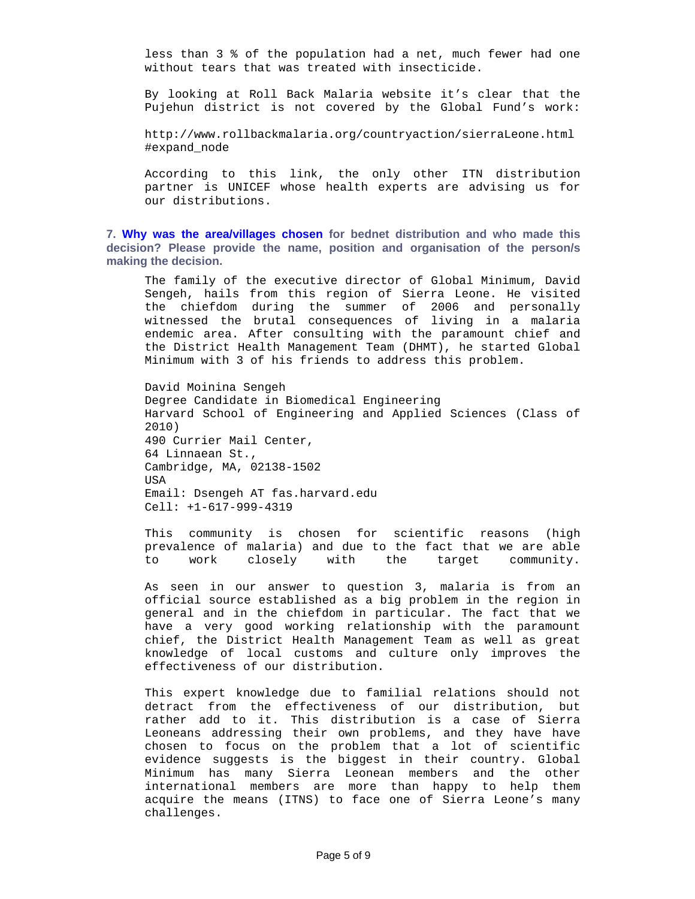less than 3 % of the population had a net, much fewer had one without tears that was treated with insecticide.

By looking at Roll Back Malaria website it's clear that the Pujehun district is not covered by the Global Fund's work:

http://www.rollbackmalaria.org/countryaction/sierraLeone.html #expand\_node

According to this link, the only other ITN distribution partner is UNICEF whose health experts are advising us for our distributions.

**7. Why was the area/villages chosen for bednet distribution and who made this decision? Please provide the name, position and organisation of the person/s making the decision.** 

The family of the executive director of Global Minimum, David Sengeh, hails from this region of Sierra Leone. He visited the chiefdom during the summer of 2006 and personally witnessed the brutal consequences of living in a malaria endemic area. After consulting with the paramount chief and the District Health Management Team (DHMT), he started Global Minimum with 3 of his friends to address this problem.

David Moinina Sengeh Degree Candidate in Biomedical Engineering Harvard School of Engineering and Applied Sciences (Class of 2010) 490 Currier Mail Center, 64 Linnaean St., Cambridge, MA, 02138-1502 USA Email: Dsengeh AT fas.harvard.edu Cell: +1-617-999-4319

This community is chosen for scientific reasons (high prevalence of malaria) and due to the fact that we are able to work closely with the target community.

As seen in our answer to question 3, malaria is from an official source established as a big problem in the region in general and in the chiefdom in particular. The fact that we have a very good working relationship with the paramount chief, the District Health Management Team as well as great knowledge of local customs and culture only improves the effectiveness of our distribution.

This expert knowledge due to familial relations should not detract from the effectiveness of our distribution, but rather add to it. This distribution is a case of Sierra Leoneans addressing their own problems, and they have have chosen to focus on the problem that a lot of scientific evidence suggests is the biggest in their country. Global Minimum has many Sierra Leonean members and the other international members are more than happy to help them acquire the means (ITNS) to face one of Sierra Leone's many challenges.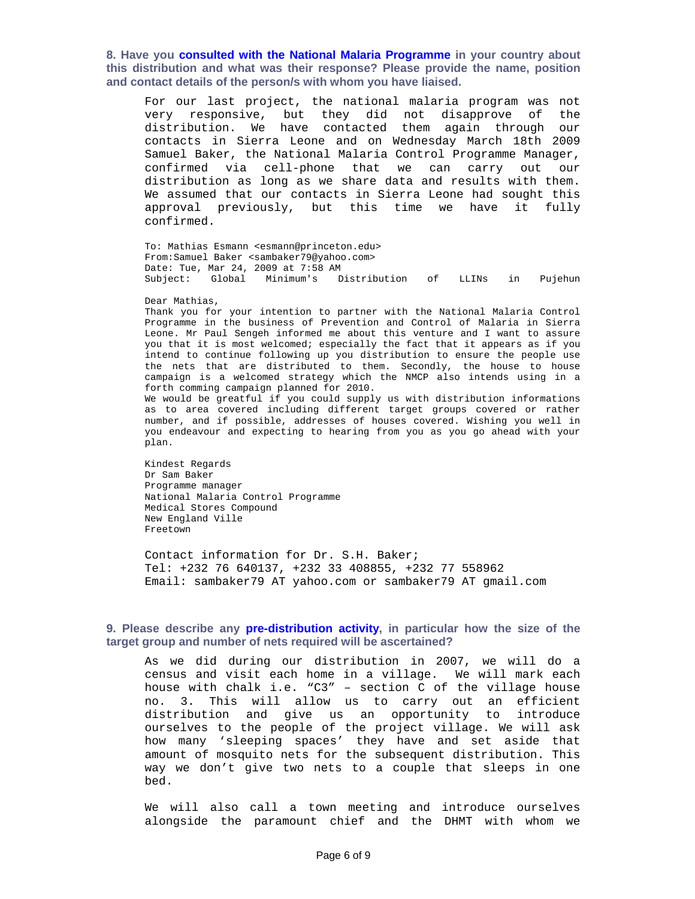**8. Have you consulted with the National Malaria Programme in your country about this distribution and what was their response? Please provide the name, position and contact details of the person/s with whom you have liaised.** 

For our last project, the national malaria program was not very responsive, but they did not disapprove of the distribution. We have contacted them again through our contacts in Sierra Leone and on Wednesday March 18th 2009 Samuel Baker, the National Malaria Control Programme Manager, confirmed via cell-phone that we can carry out our distribution as long as we share data and results with them. We assumed that our contacts in Sierra Leone had sought this approval previously, but this time we have it fully confirmed.

To: Mathias Esmann <esmann@princeton.edu> From:Samuel Baker <sambaker79@yahoo.com> Date: Tue, Mar 24, 2009 at 7:58 AM Subject: Global Minimum's Distribution of LLINs in Pujehun

#### Dear Mathias,

Thank you for your intention to partner with the National Malaria Control Programme in the business of Prevention and Control of Malaria in Sierra Leone. Mr Paul Sengeh informed me about this venture and I want to assure you that it is most welcomed; especially the fact that it appears as if you intend to continue following up you distribution to ensure the people use the nets that are distributed to them. Secondly, the house to house campaign is a welcomed strategy which the NMCP also intends using in a forth comming campaign planned for 2010.

We would be greatful if you could supply us with distribution informations as to area covered including different target groups covered or rather number, and if possible, addresses of houses covered. Wishing you well in you endeavour and expecting to hearing from you as you go ahead with your plan.

Kindest Regards Dr Sam Baker Programme manager National Malaria Control Programme Medical Stores Compound New England Ville Freetown

Contact information for Dr. S.H. Baker; Tel: +232 76 640137, +232 33 408855, +232 77 558962 Email: sambaker79 AT yahoo.com or sambaker79 AT gmail.com

### **9. Please describe any pre-distribution activity, in particular how the size of the target group and number of nets required will be ascertained?**

As we did during our distribution in 2007, we will do a census and visit each home in a village. We will mark each house with chalk i.e. "C3" – section C of the village house no. 3. This will allow us to carry out an efficient distribution and give us an opportunity to introduce ourselves to the people of the project village. We will ask how many 'sleeping spaces' they have and set aside that amount of mosquito nets for the subsequent distribution. This way we don't give two nets to a couple that sleeps in one bed.

We will also call a town meeting and introduce ourselves alongside the paramount chief and the DHMT with whom we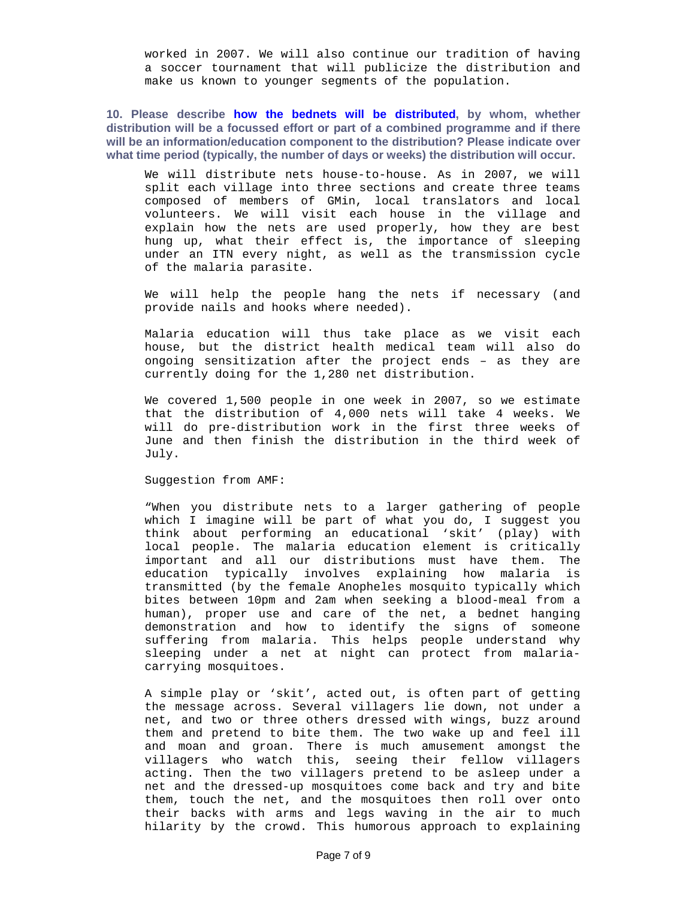worked in 2007. We will also continue our tradition of having a soccer tournament that will publicize the distribution and make us known to younger segments of the population.

# **10. Please describe how the bednets will be distributed, by whom, whether distribution will be a focussed effort or part of a combined programme and if there will be an information/education component to the distribution? Please indicate over what time period (typically, the number of days or weeks) the distribution will occur.**

We will distribute nets house-to-house. As in 2007, we will split each village into three sections and create three teams composed of members of GMin, local translators and local volunteers. We will visit each house in the village and explain how the nets are used properly, how they are best hung up, what their effect is, the importance of sleeping under an ITN every night, as well as the transmission cycle of the malaria parasite.

We will help the people hang the nets if necessary (and provide nails and hooks where needed).

Malaria education will thus take place as we visit each house, but the district health medical team will also do ongoing sensitization after the project ends – as they are currently doing for the 1,280 net distribution.

We covered 1,500 people in one week in 2007, so we estimate that the distribution of 4,000 nets will take 4 weeks. We will do pre-distribution work in the first three weeks of June and then finish the distribution in the third week of July.

Suggestion from AMF:

"When you distribute nets to a larger gathering of people which I imagine will be part of what you do, I suggest you think about performing an educational 'skit' (play) with local people. The malaria education element is critically important and all our distributions must have them. The education typically involves explaining how malaria is transmitted (by the female Anopheles mosquito typically which bites between 10pm and 2am when seeking a blood-meal from a human), proper use and care of the net, a bednet hanging demonstration and how to identify the signs of someone suffering from malaria. This helps people understand why sleeping under a net at night can protect from malariacarrying mosquitoes.

A simple play or 'skit', acted out, is often part of getting the message across. Several villagers lie down, not under a net, and two or three others dressed with wings, buzz around them and pretend to bite them. The two wake up and feel ill and moan and groan. There is much amusement amongst the villagers who watch this, seeing their fellow villagers acting. Then the two villagers pretend to be asleep under a net and the dressed-up mosquitoes come back and try and bite them, touch the net, and the mosquitoes then roll over onto their backs with arms and legs waving in the air to much hilarity by the crowd. This humorous approach to explaining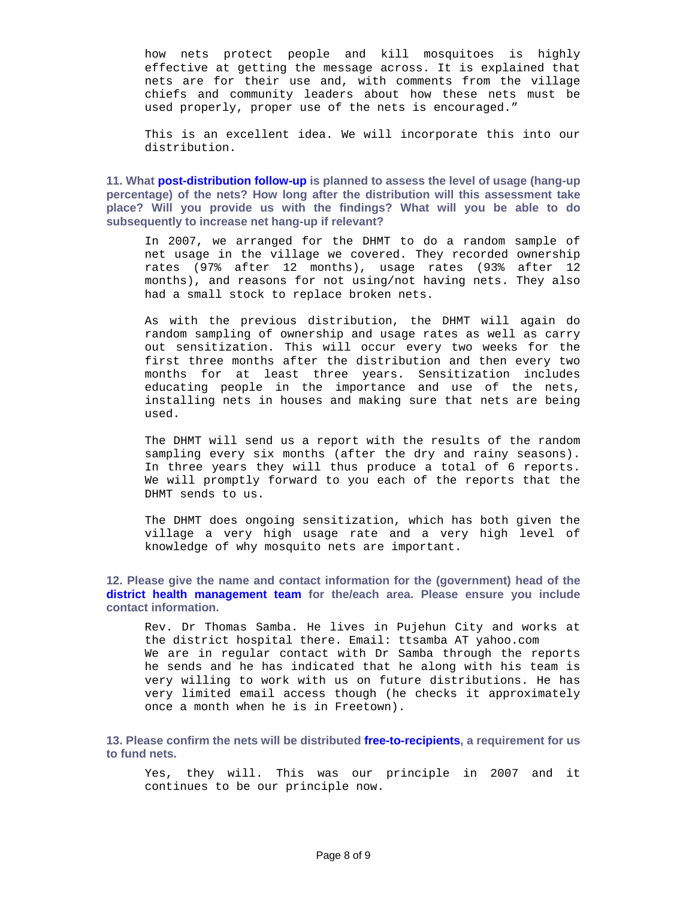how nets protect people and kill mosquitoes is highly effective at getting the message across. It is explained that nets are for their use and, with comments from the village chiefs and community leaders about how these nets must be used properly, proper use of the nets is encouraged."

This is an excellent idea. We will incorporate this into our distribution.

**11. What post-distribution follow-up is planned to assess the level of usage (hang-up percentage) of the nets? How long after the distribution will this assessment take place? Will you provide us with the findings? What will you be able to do subsequently to increase net hang-up if relevant?** 

In 2007, we arranged for the DHMT to do a random sample of net usage in the village we covered. They recorded ownership rates (97% after 12 months), usage rates (93% after 12 months), and reasons for not using/not having nets. They also had a small stock to replace broken nets.

As with the previous distribution, the DHMT will again do random sampling of ownership and usage rates as well as carry out sensitization. This will occur every two weeks for the first three months after the distribution and then every two months for at least three years. Sensitization includes educating people in the importance and use of the nets, installing nets in houses and making sure that nets are being used.

The DHMT will send us a report with the results of the random sampling every six months (after the dry and rainy seasons). In three years they will thus produce a total of 6 reports. We will promptly forward to you each of the reports that the DHMT sends to us.

The DHMT does ongoing sensitization, which has both given the village a very high usage rate and a very high level of knowledge of why mosquito nets are important.

**12. Please give the name and contact information for the (government) head of the district health management team for the/each area. Please ensure you include contact information.** 

Rev. Dr Thomas Samba. He lives in Pujehun City and works at the district hospital there. Email: ttsamba AT yahoo.com We are in regular contact with Dr Samba through the reports he sends and he has indicated that he along with his team is very willing to work with us on future distributions. He has very limited email access though (he checks it approximately once a month when he is in Freetown).

**13. Please confirm the nets will be distributed free-to-recipients, a requirement for us to fund nets.** 

Yes, they will. This was our principle in 2007 and it continues to be our principle now.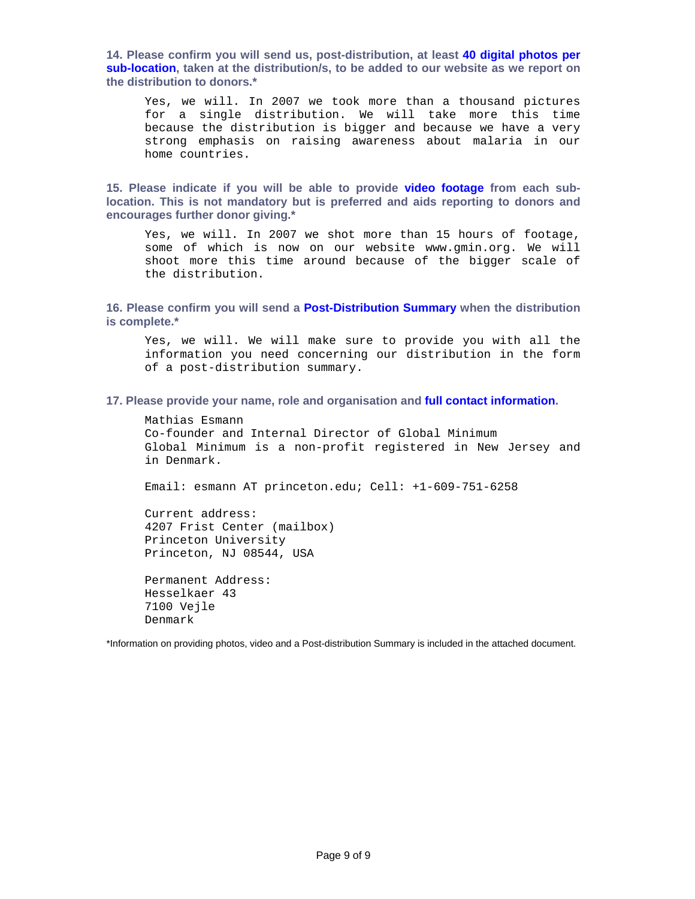**14. Please confirm you will send us, post-distribution, at least 40 digital photos per sub-location, taken at the distribution/s, to be added to our website as we report on the distribution to donors.\*** 

Yes, we will. In 2007 we took more than a thousand pictures for a single distribution. We will take more this time because the distribution is bigger and because we have a very strong emphasis on raising awareness about malaria in our home countries.

**15. Please indicate if you will be able to provide video footage from each sublocation. This is not mandatory but is preferred and aids reporting to donors and encourages further donor giving.\*** 

Yes, we will. In 2007 we shot more than 15 hours of footage, some of which is now on our website www.gmin.org. We will shoot more this time around because of the bigger scale of the distribution.

## **16. Please confirm you will send a Post-Distribution Summary when the distribution is complete.\***

Yes, we will. We will make sure to provide you with all the information you need concerning our distribution in the form of a post-distribution summary.

#### **17. Please provide your name, role and organisation and full contact information.**

Mathias Esmann Co-founder and Internal Director of Global Minimum Global Minimum is a non-profit registered in New Jersey and in Denmark.

Email: esmann AT princeton.edu; Cell: +1-609-751-6258

Current address: 4207 Frist Center (mailbox) Princeton University Princeton, NJ 08544, USA

Permanent Address: Hesselkaer 43 7100 Vejle Denmark

\*Information on providing photos, video and a Post-distribution Summary is included in the attached document.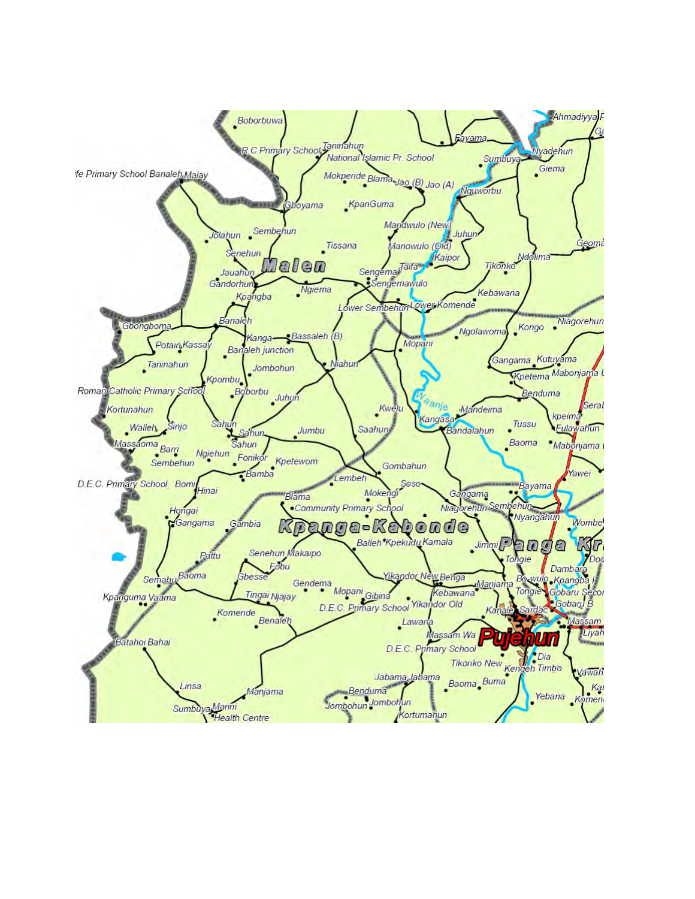